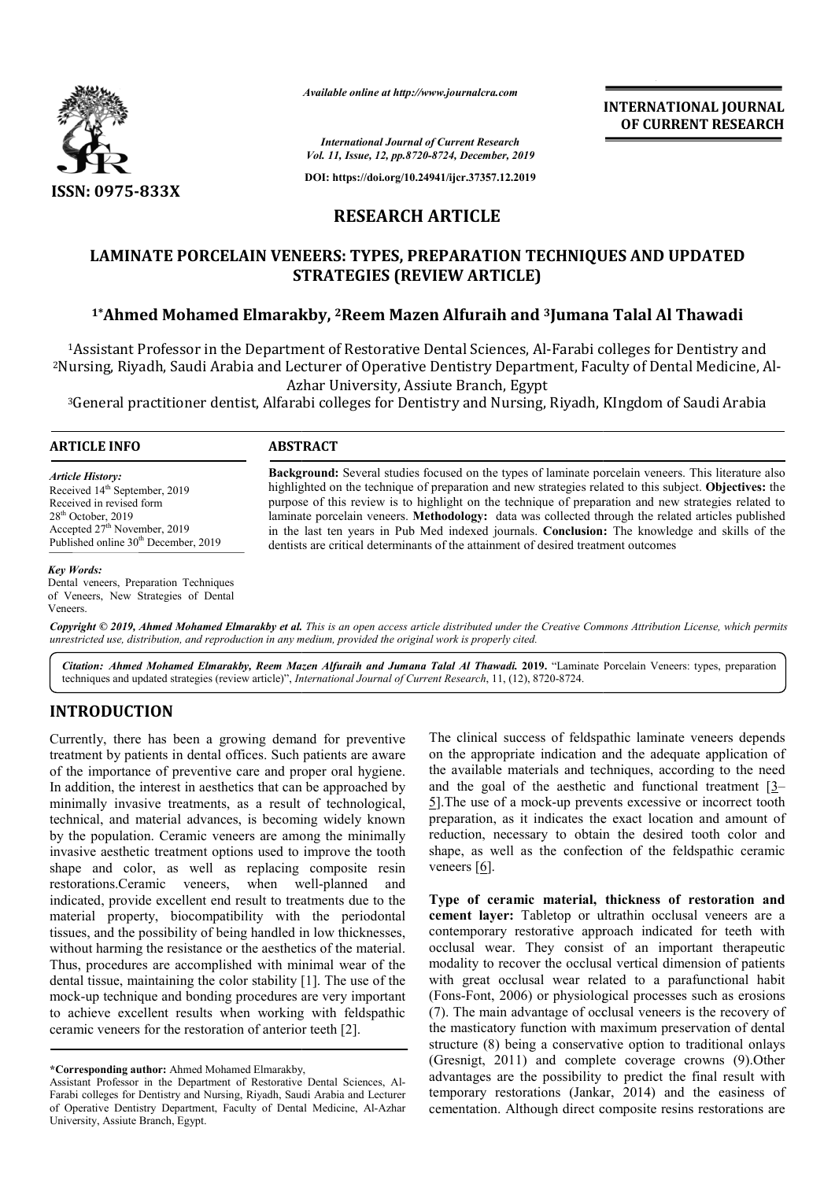

*Available online at http://www.journalcra.com*

**INTERNATIONAL JOURNAL OF CURRENT RESEARCH**

*International Journal of Current Research Vol. 11, Issue, 12, pp.8720-8724, December, 2019*

**DOI: https://doi.org/10.24941/ijcr.37357.12.2019**

# **RESEARCH ARTICLE**

# **LAMINATE PORCELAIN VENEERS: TYPES, PREPARATION TECHNIQUES AND UPDATED STRATEGIES (REVIEW ARTICLE)**

# **1\*Ahmed Mohamed Elmarakby, 2Reem Mazen Alfuraih and 3Jumana Jumana Talal Al Thawadi**

<sup>1</sup>Assistant Professor in the Department of Restorative Dental Sciences, Al-Farabi colleges for Dentistry and <sup>2</sup>Nursing, Riyadh, Saudi Arabia and Lecturer of Operative Dentistry Department, Faculty of Dental Medicine, Al-Azhar University, Assiute Branch, Egypt

<sup>3</sup>General practitioner dentist, Alfarabi colleges for Dentistry and Nursing, Riyadh, KIngdom of Saudi Arabia

## **ARTICLE INFO ABSTRACT**

*Article History:* Received 14<sup>th</sup> September, 2019 Received in revised form  $28<sup>th</sup>$  October,  $2019$ Accepted  $27^{\text{th}}$  November, 2019 Published online 30<sup>th</sup> December, 2019 Background: Several studies focused on the types of laminate porcelain veneers. This literature also highlighted on the technique of preparation and new strategies related to this subject. Objectives: the purpose of this review is to highlight on the technique of preparation and new strategies related to laminate porcelain veneers. **Methodology:** data was collected through the related articles published in the last ten years in Pub Med indexed journals. **Conclusion:** The knowledge and skills of the dentists are critical determinants of the attainment of desired treatment outcomes

#### *Key Words:*

Dental veneers, Preparation Techniques of Veneers, New Strategies of Dental Veneers.

Copyright © 2019, Ahmed Mohamed Elmarakby et al. This is an open access article distributed under the Creative Commons Attribution License, which permits *unrestricted use, distribution, and reproduction in any medium, provided the original work is properly cited.*

Citation: Ahmed Mohamed Elmarakby, Reem Mazen Alfuraih and Jumana Talal Al Thawadi. 2019. "Laminate Porcelain Veneers: types, preparation techniques and updated strategies (review article)", *International Journal of Current Research*, 11, (12), 8720-8724.

### **INTRODUCTION**

Currently, there has been a growing demand for preventive treatment by patients in dental offices. Such patients are aware of the importance of preventive care and proper oral hygiene. In addition, the interest in aesthetics that can be approached by minimally invasive treatments, as a result of technological, technical, and material advances, is becoming widely known by the population. Ceramic veneers are among the minimally invasive aesthetic treatment options used to improve the tooth shape and color, as well as replacing composite resin restorations.Ceramic veneers, when well-planned and indicated, provide excellent end result to treatments due to the material property, biocompatibility with the periodontal tissues, and the possibility of being handled in low thicknesses, without harming the resistance or the aesthetics of the material. Thus, procedures are accomplished with minimal wear of the dental tissue, maintaining the color stability [1]. The use of the mock-up technique and bonding procedures are very important to achieve excellent results when working with feldspathic ceramic veneers for the restoration of anterior teeth [2]. nvasive aesthetic treatment options used to improve the tooth<br>hape and color, as well as replacing composite resin<br>restorations.Ceramic veneers, when well-planned and ompatibility with the periodontal<br>
of being handled in low thicknesses,<br>
tance or the aesthetics of the material.<br>
omplished with minimal wear of the<br>
the color stability [1]. The use of the up technique and bonding procedures are very in<br>ieve excellent results when working with felic<br>ic veneers for the restoration of anterior teeth [2].

The clinical success of feldspathic laminate veneers depends on the appropriate indication and the adequate application of the available materials and techniques, according to the need and the goal of the aesthetic and functional treatment [3– 5].The use of a mock-up prevents excessive or incorrect tooth preparation, as it indicates the exact location and amount of reduction, necessary to obtain the desired tooth color and shape, as well as the confection of the feldspathic ceramic veneers [6]. indeed appropriate indication and the adequate application of vailable materials and techniques, according to the need<br>the goal of the aesthetic and functional treatment [3–1] mock-up prevents excessive or incorrit<br>it indicates the exact location and artsary to obtain the desired tooth co<br>as the confection of the feldspathic

**Type of ceramic material, thickness of restoration and cement layer:** Tabletop or ultrathin occlusal veneers are a contemporary restorative approach indicated for teeth with occlusal wear. They consist of an important therapeutic modality to recover the occlusal vertical dimension of patients with great occlusal wear related to a parafunctional habit (Fons-Font, 2006) or physiological processes such as erosions (7). The main advantage of occlusal veneers is the recovery of the masticatory function with maximum preservation of dental structure (8) being a conservative option to traditional onlays (Gresnigt, 2011) and complete coverage crowns (9).Other advantages are the possibility to predict the final result with temporary restorations (Jankar, 2014) and the easiness of cementation. Although direct composite resins restorations are

**<sup>\*</sup>Corresponding author:** Ahmed Mohamed Elmarakby Elmarakby,

Assistant Professor in the Department of Restorative Dental Sciences, Al-Farabi colleges for Dentistry and Nursing, Riyadh, Saudi Arabia and Lecturer of Operative Dentistry Department, Faculty of Dental Medicine, Al-Azhar University, Assiute Branch, Egypt.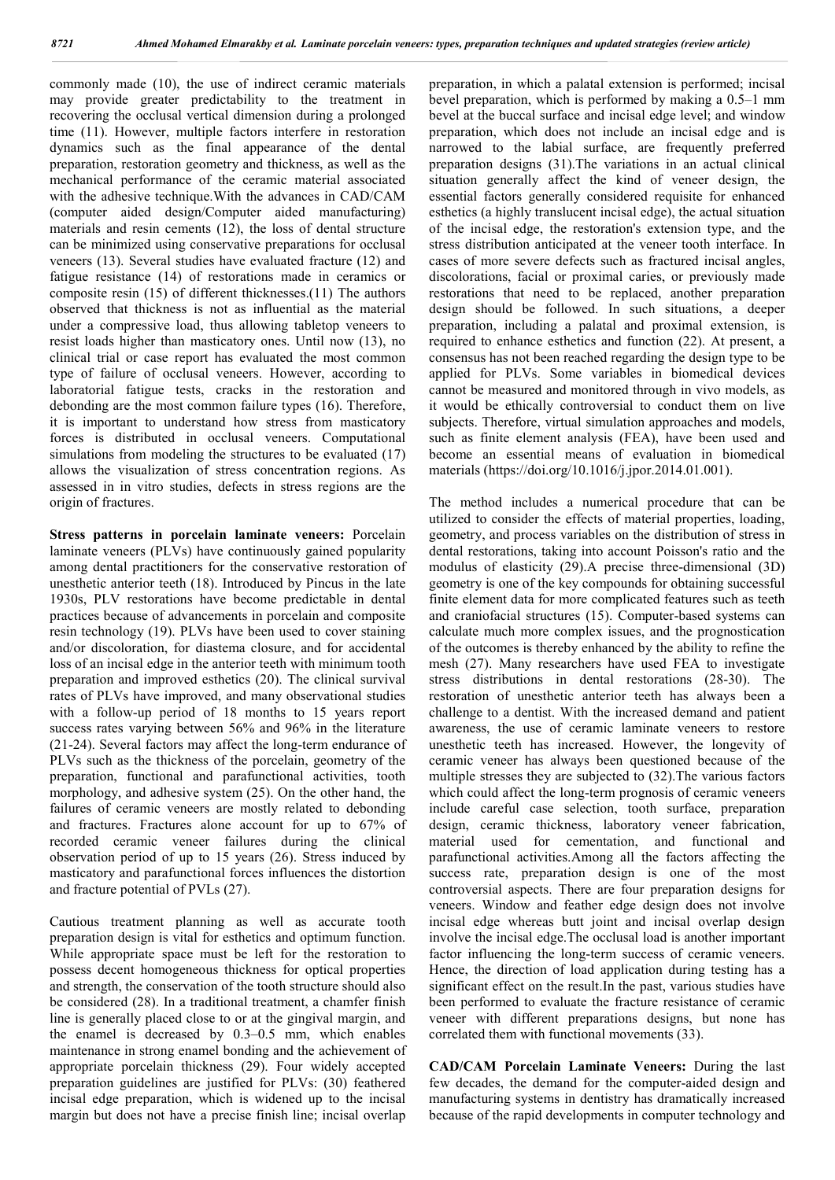commonly made (10), the use of indirect ceramic materials may provide greater predictability to the treatment in recovering the occlusal vertical dimension during a prolonged time (11). However, multiple factors interfere in restoration dynamics such as the final appearance of the dental preparation, restoration geometry and thickness, as well as the mechanical performance of the ceramic material associated with the adhesive technique. With the advances in CAD/CAM (computer aided design/Computer aided manufacturing) materials and resin cements (12), the loss of dental structure can be minimized using conservative preparations for occlusal veneers (13). Several studies have evaluated fracture (12) and fatigue resistance (14) of restorations made in ceramics or composite resin (15) of different thicknesses.(11) The authors observed that thickness is not as influential as the material under a compressive load, thus allowing tabletop veneers to resist loads higher than masticatory ones. Until now (13), no clinical trial or case report has evaluated the most common type of failure of occlusal veneers. However, according to laboratorial fatigue tests, cracks in the restoration and debonding are the most common failure types (16). Therefore, it is important to understand how stress from masticatory forces is distributed in occlusal veneers. Computational simulations from modeling the structures to be evaluated (17) allows the visualization of stress concentration regions. As assessed in in vitro studies, defects in stress regions are the origin of fractures.

**Stress patterns in porcelain laminate veneers:** Porcelain laminate veneers (PLVs) have continuously gained popularity among dental practitioners for the conservative restoration of unesthetic anterior teeth (18). Introduced by Pincus in the late 1930s, PLV restorations have become predictable in dental practices because of advancements in porcelain and composite resin technology (19). PLVs have been used to cover staining and/or discoloration, for diastema closure, and for accidental loss of an incisal edge in the anterior teeth with minimum tooth preparation and improved esthetics (20). The clinical survival rates of PLVs have improved, and many observational studies with a follow-up period of 18 months to 15 years report success rates varying between 56% and 96% in the literature (21-24). Several factors may affect the long-term endurance of PLVs such as the thickness of the porcelain, geometry of the preparation, functional and parafunctional activities, tooth morphology, and adhesive system (25). On the other hand, the failures of ceramic veneers are mostly related to debonding and fractures. Fractures alone account for up to 67% of recorded ceramic veneer failures during the clinical observation period of up to 15 years (26). Stress induced by masticatory and parafunctional forces influences the distortion and fracture potential of PVLs (27).

Cautious treatment planning as well as accurate tooth preparation design is vital for esthetics and optimum function. While appropriate space must be left for the restoration to possess decent homogeneous thickness for optical properties and strength, the conservation of the tooth structure should also be considered (28). In a traditional treatment, a chamfer finish line is generally placed close to or at the gingival margin, and the enamel is decreased by 0.3–0.5 mm, which enables maintenance in strong enamel bonding and the achievement of appropriate porcelain thickness (29). Four widely accepted preparation guidelines are justified for PLVs: (30) feathered incisal edge preparation, which is widened up to the incisal margin but does not have a precise finish line; incisal overlap preparation, in which a palatal extension is performed; incisal bevel preparation, which is performed by making a 0.5–1 mm bevel at the buccal surface and incisal edge level; and window preparation, which does not include an incisal edge and is narrowed to the labial surface, are frequently preferred preparation designs (31).The variations in an actual clinical situation generally affect the kind of veneer design, the essential factors generally considered requisite for enhanced esthetics (a highly translucent incisal edge), the actual situation of the incisal edge, the restoration's extension type, and the stress distribution anticipated at the veneer tooth interface. In cases of more severe defects such as fractured incisal angles, discolorations, facial or proximal caries, or previously made restorations that need to be replaced, another preparation design should be followed. In such situations, a deeper preparation, including a palatal and proximal extension, is required to enhance esthetics and function (22). At present, a consensus has not been reached regarding the design type to be applied for PLVs. Some variables in biomedical devices cannot be measured and monitored through in vivo models, as it would be ethically controversial to conduct them on live subjects. Therefore, virtual simulation approaches and models, such as finite element analysis (FEA), have been used and become an essential means of evaluation in biomedical materials (https://doi.org/10.1016/j.jpor.2014.01.001).

The method includes a numerical procedure that can be utilized to consider the effects of material properties, loading, geometry, and process variables on the distribution of stress in dental restorations, taking into account Poisson's ratio and the modulus of elasticity (29).A precise three-dimensional (3D) geometry is one of the key compounds for obtaining successful finite element data for more complicated features such as teeth and craniofacial structures (15). Computer-based systems can calculate much more complex issues, and the prognostication of the outcomes is thereby enhanced by the ability to refine the mesh (27). Many researchers have used FEA to investigate stress distributions in dental restorations (28-30). The restoration of unesthetic anterior teeth has always been a challenge to a dentist. With the increased demand and patient awareness, the use of ceramic laminate veneers to restore unesthetic teeth has increased. However, the longevity of ceramic veneer has always been questioned because of the multiple stresses they are subjected to (32).The various factors which could affect the long-term prognosis of ceramic veneers include careful case selection, tooth surface, preparation design, ceramic thickness, laboratory veneer fabrication, material used for cementation, and functional and parafunctional activities.Among all the factors affecting the success rate, preparation design is one of the most controversial aspects. There are four preparation designs for veneers. Window and feather edge design does not involve incisal edge whereas butt joint and incisal overlap design involve the incisal edge.The occlusal load is another important factor influencing the long-term success of ceramic veneers. Hence, the direction of load application during testing has a significant effect on the result.In the past, various studies have been performed to evaluate the fracture resistance of ceramic veneer with different preparations designs, but none has correlated them with functional movements (33).

**CAD/CAM Porcelain Laminate Veneers:** During the last few decades, the demand for the computer-aided design and manufacturing systems in dentistry has dramatically increased because of the rapid developments in computer technology and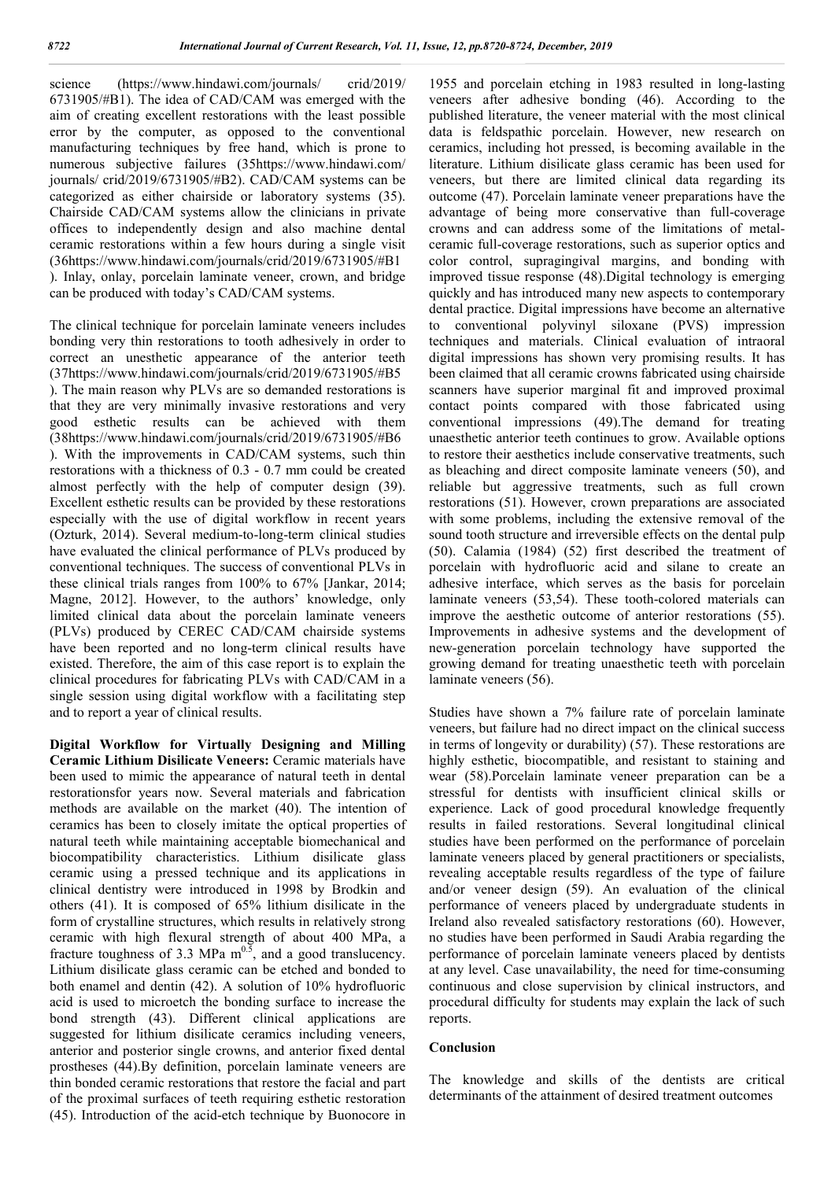science (https://www.hindawi.com/journals/ crid/2019/ 6731905/#B1). The idea of CAD/CAM was emerged with the aim of creating excellent restorations with the least possible error by the computer, as opposed to the conventional manufacturing techniques by free hand, which is prone to numerous subjective failures (35https://www.hindawi.com/ journals/ crid/2019/6731905/#B2). CAD/CAM systems can be categorized as either chairside or laboratory systems (35). Chairside CAD/CAM systems allow the clinicians in private offices to independently design and also machine dental ceramic restorations within a few hours during a single visit (36https://www.hindawi.com/journals/crid/2019/6731905/#B1 ). Inlay, onlay, porcelain laminate veneer, crown, and bridge can be produced with today's CAD/CAM systems.

The clinical technique for porcelain laminate veneers includes bonding very thin restorations to tooth adhesively in order to correct an unesthetic appearance of the anterior teeth (37https://www.hindawi.com/journals/crid/2019/6731905/#B5 ). The main reason why PLVs are so demanded restorations is that they are very minimally invasive restorations and very good esthetic results can be achieved with them (38https://www.hindawi.com/journals/crid/2019/6731905/#B6 ). With the improvements in CAD/CAM systems, such thin restorations with a thickness of 0.3 - 0.7 mm could be created almost perfectly with the help of computer design (39). Excellent esthetic results can be provided by these restorations especially with the use of digital workflow in recent years (Ozturk, 2014). Several medium-to-long-term clinical studies have evaluated the clinical performance of PLVs produced by conventional techniques. The success of conventional PLVs in these clinical trials ranges from 100% to 67% [Jankar, 2014; Magne, 2012]. However, to the authors' knowledge, only limited clinical data about the porcelain laminate veneers (PLVs) produced by CEREC CAD/CAM chairside systems have been reported and no long-term clinical results have existed. Therefore, the aim of this case report is to explain the clinical procedures for fabricating PLVs with CAD/CAM in a single session using digital workflow with a facilitating step and to report a year of clinical results.

**Digital Workflow for Virtually Designing and Milling Ceramic Lithium Disilicate Veneers:** Ceramic materials have been used to mimic the appearance of natural teeth in dental restorationsfor years now. Several materials and fabrication methods are available on the market (40). The intention of ceramics has been to closely imitate the optical properties of natural teeth while maintaining acceptable biomechanical and biocompatibility characteristics. Lithium disilicate glass ceramic using a pressed technique and its applications in clinical dentistry were introduced in 1998 by Brodkin and others (41). It is composed of 65% lithium disilicate in the form of crystalline structures, which results in relatively strong ceramic with high flexural strength of about 400 MPa, a fracture toughness of 3.3 MPa  $m^{0.5}$ , and a good translucency. Lithium disilicate glass ceramic can be etched and bonded to both enamel and dentin (42). A solution of 10% hydrofluoric acid is used to microetch the bonding surface to increase the bond strength (43). Different clinical applications are suggested for lithium disilicate ceramics including veneers, anterior and posterior single crowns, and anterior fixed dental prostheses (44).By definition, porcelain laminate veneers are thin bonded ceramic restorations that restore the facial and part of the proximal surfaces of teeth requiring esthetic restoration (45). Introduction of the acid-etch technique by Buonocore in

1955 and porcelain etching in 1983 resulted in long-lasting veneers after adhesive bonding (46). According to the published literature, the veneer material with the most clinical data is feldspathic porcelain. However, new research on ceramics, including hot pressed, is becoming available in the literature. Lithium disilicate glass ceramic has been used for veneers, but there are limited clinical data regarding its outcome (47). Porcelain laminate veneer preparations have the advantage of being more conservative than full-coverage crowns and can address some of the limitations of metalceramic full-coverage restorations, such as superior optics and color control, supragingival margins, and bonding with improved tissue response (48).Digital technology is emerging quickly and has introduced many new aspects to contemporary dental practice. Digital impressions have become an alternative to conventional polyvinyl siloxane (PVS) impression techniques and materials. Clinical evaluation of intraoral digital impressions has shown very promising results. It has been claimed that all ceramic crowns fabricated using chairside scanners have superior marginal fit and improved proximal contact points compared with those fabricated using conventional impressions (49).The demand for treating unaesthetic anterior teeth continues to grow. Available options to restore their aesthetics include conservative treatments, such as bleaching and direct composite laminate veneers (50), and reliable but aggressive treatments, such as full crown restorations (51). However, crown preparations are associated with some problems, including the extensive removal of the sound tooth structure and irreversible effects on the dental pulp (50). Calamia (1984) (52) first described the treatment of porcelain with hydrofluoric acid and silane to create an adhesive interface, which serves as the basis for porcelain laminate veneers (53,54). These tooth-colored materials can improve the aesthetic outcome of anterior restorations (55). Improvements in adhesive systems and the development of new-generation porcelain technology have supported the growing demand for treating unaesthetic teeth with porcelain laminate veneers (56).

Studies have shown a 7% failure rate of porcelain laminate veneers, but failure had no direct impact on the clinical success in terms of longevity or durability) (57). These restorations are highly esthetic, biocompatible, and resistant to staining and wear (58).Porcelain laminate veneer preparation can be a stressful for dentists with insufficient clinical skills or experience. Lack of good procedural knowledge frequently results in failed restorations. Several longitudinal clinical studies have been performed on the performance of porcelain laminate veneers placed by general practitioners or specialists, revealing acceptable results regardless of the type of failure and/or veneer design (59). An evaluation of the clinical performance of veneers placed by undergraduate students in Ireland also revealed satisfactory restorations (60). However, no studies have been performed in Saudi Arabia regarding the performance of porcelain laminate veneers placed by dentists at any level. Case unavailability, the need for time-consuming continuous and close supervision by clinical instructors, and procedural difficulty for students may explain the lack of such reports.

### **Conclusion**

The knowledge and skills of the dentists are critical determinants of the attainment of desired treatment outcomes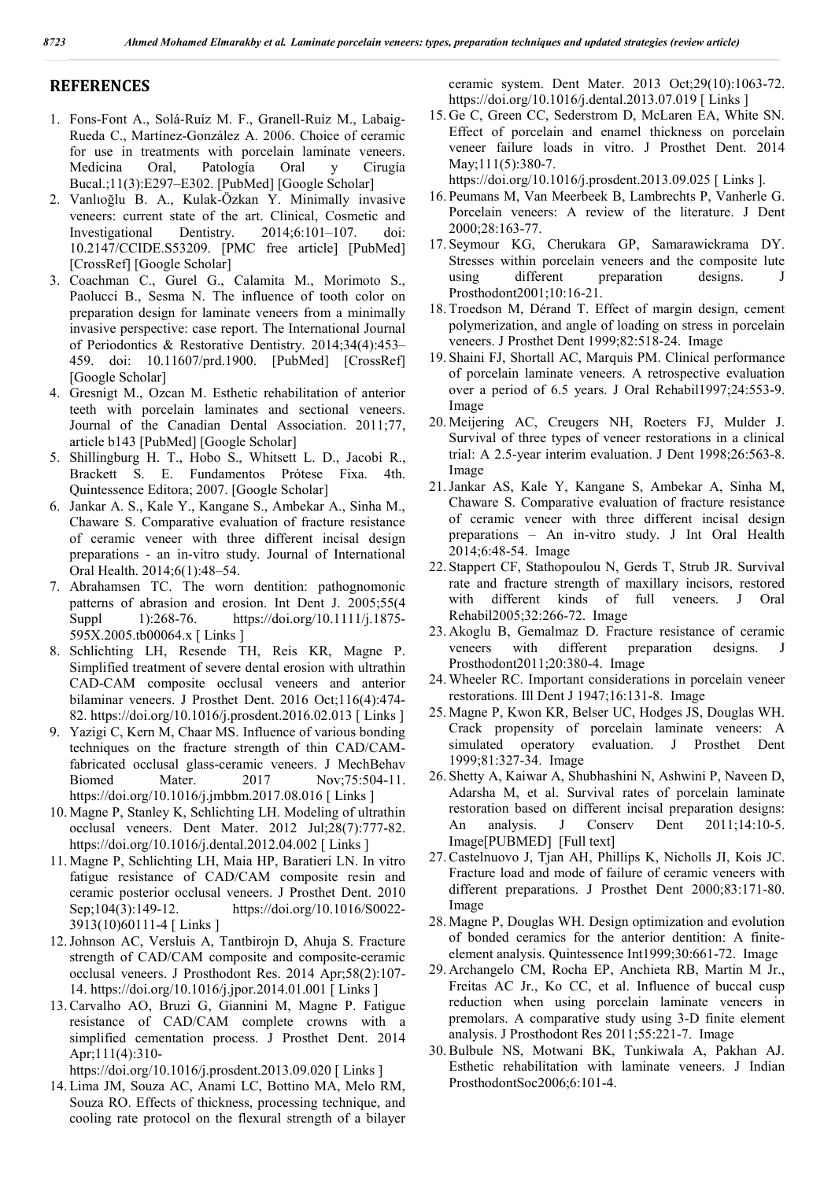### **REFERENCES**

- 1. Fons-Font A., Solá-Ruíz M. F., Granell-Ruíz M., Labaig-Rueda C., Martínez-González A. 2006. Choice of ceramic for use in treatments with porcelain laminate veneers. Medicina Oral, Patología Oral y Cirugía Bucal.;11(3):E297–E302. [PubMed] [Google Scholar]
- 2. Vanlıoğlu B. A., Kulak-Özkan Y. Minimally invasive veneers: current state of the art. Clinical, Cosmetic and Investigational Dentistry. 2014;6:101–107. doi: 10.2147/CCIDE.S53209. [PMC free article] [PubMed] [CrossRef] [Google Scholar]
- 3. Coachman C., Gurel G., Calamita M., Morimoto S., Paolucci B., Sesma N. The influence of tooth color on preparation design for laminate veneers from a minimally invasive perspective: case report. The International Journal of Periodontics & Restorative Dentistry. 2014;34(4):453– 459. doi: 10.11607/prd.1900. [PubMed] [CrossRef] [Google Scholar]
- 4. Gresnigt M., Ozcan M. Esthetic rehabilitation of anterior teeth with porcelain laminates and sectional veneers. Journal of the Canadian Dental Association. 2011;77, article b143 [PubMed] [Google Scholar]
- 5. Shillingburg H. T., Hobo S., Whitsett L. D., Jacobi R., Brackett S. E. Fundamentos Prótese Fixa. 4th. Quintessence Editora; 2007. [Google Scholar]
- 6. Jankar A. S., Kale Y., Kangane S., Ambekar A., Sinha M., Chaware S. Comparative evaluation of fracture resistance of ceramic veneer with three different incisal design preparations - an in-vitro study. Journal of International Oral Health. 2014;6(1):48–54.
- 7. Abrahamsen TC. The worn dentition: pathognomonic patterns of abrasion and erosion. Int Dent J. 2005;55(4 Suppl 1):268-76. https://doi.org/10.1111/j.1875-595X.2005.tb00064.x [ Links ]
- 8. Schlichting LH, Resende TH, Reis KR, Magne P. Simplified treatment of severe dental erosion with ultrathin CAD-CAM composite occlusal veneers and anterior bilaminar veneers. J Prosthet Dent. 2016 Oct;116(4):474- 82. https://doi.org/10.1016/j.prosdent.2016.02.013 [ Links ]
- 9. Yazigi C, Kern M, Chaar MS. Influence of various bonding techniques on the fracture strength of thin CAD/CAMfabricated occlusal glass-ceramic veneers. J MechBehav Biomed Mater. 2017 Nov;75:504-11. https://doi.org/10.1016/j.jmbbm.2017.08.016 [ Links ]
- 10. Magne P, Stanley K, Schlichting LH. Modeling of ultrathin occlusal veneers. Dent Mater. 2012 Jul;28(7):777-82. https://doi.org/10.1016/j.dental.2012.04.002 [ Links ]
- 11. Magne P, Schlichting LH, Maia HP, Baratieri LN. In vitro fatigue resistance of CAD/CAM composite resin and ceramic posterior occlusal veneers. J Prosthet Dent. 2010 Sep;104(3):149-12. https://doi.org/10.1016/S0022- 3913(10)60111-4 [ Links ]
- 12.Johnson AC, Versluis A, Tantbirojn D, Ahuja S. Fracture strength of CAD/CAM composite and composite-ceramic occlusal veneers. J Prosthodont Res. 2014 Apr;58(2):107- 14. https://doi.org/10.1016/j.jpor.2014.01.001 [ Links ]
- 13.Carvalho AO, Bruzi G, Giannini M, Magne P. Fatigue resistance of CAD/CAM complete crowns with a simplified cementation process. J Prosthet Dent. 2014 Apr;111(4):310-

https://doi.org/10.1016/j.prosdent.2013.09.020 [ Links ]

14. Lima JM, Souza AC, Anami LC, Bottino MA, Melo RM, Souza RO. Effects of thickness, processing technique, and cooling rate protocol on the flexural strength of a bilayer

ceramic system. Dent Mater. 2013 Oct;29(10):1063-72. https://doi.org/10.1016/j.dental.2013.07.019 [ Links ]

15. Ge C, Green CC, Sederstrom D, McLaren EA, White SN. Effect of porcelain and enamel thickness on porcelain veneer failure loads in vitro. J Prosthet Dent. 2014 May;111(5):380-7.

https://doi.org/10.1016/j.prosdent.2013.09.025 [ Links ].

- 16. Peumans M, Van Meerbeek B, Lambrechts P, Vanherle G. Porcelain veneers: A review of the literature. J Dent 2000;28:163-77.
- 17. Seymour KG, Cherukara GP, Samarawickrama DY. Stresses within porcelain veneers and the composite lute using different preparation designs. J Prosthodont2001;10:16-21.
- 18. Troedson M, Dérand T. Effect of margin design, cement polymerization, and angle of loading on stress in porcelain veneers. J Prosthet Dent 1999;82:518-24. Image
- 19. Shaini FJ, Shortall AC, Marquis PM. Clinical performance of porcelain laminate veneers. A retrospective evaluation over a period of 6.5 years. J Oral Rehabil1997;24:553-9. Image
- 20. Meijering AC, Creugers NH, Roeters FJ, Mulder J. Survival of three types of veneer restorations in a clinical trial: A 2.5-year interim evaluation. J Dent 1998;26:563-8. Image
- 21.Jankar AS, Kale Y, Kangane S, Ambekar A, Sinha M, Chaware S. Comparative evaluation of fracture resistance of ceramic veneer with three different incisal design preparations – An in-vitro study. J Int Oral Health 2014;6:48-54. Image
- 22. Stappert CF, Stathopoulou N, Gerds T, Strub JR. Survival rate and fracture strength of maxillary incisors, restored with different kinds of full veneers. J Oral Rehabil2005;32:266-72. Image
- 23. Akoglu B, Gemalmaz D. Fracture resistance of ceramic veneers with different preparation designs. J Prosthodont2011;20:380-4. Image
- 24. Wheeler RC. Important considerations in porcelain veneer restorations. Ill Dent J 1947;16:131-8. Image
- 25. Magne P, Kwon KR, Belser UC, Hodges JS, Douglas WH. Crack propensity of porcelain laminate veneers: A simulated operatory evaluation. J Prosthet Dent 1999;81:327-34. Image
- 26. Shetty A, Kaiwar A, Shubhashini N, Ashwini P, Naveen D, Adarsha M, et al. Survival rates of porcelain laminate restoration based on different incisal preparation designs: An analysis. J Conserv Dent 2011;14:10-5. Image[PUBMED] [Full text]
- 27.Castelnuovo J, Tjan AH, Phillips K, Nicholls JI, Kois JC. Fracture load and mode of failure of ceramic veneers with different preparations. J Prosthet Dent 2000;83:171-80. Image
- 28. Magne P, Douglas WH. Design optimization and evolution of bonded ceramics for the anterior dentition: A finiteelement analysis. Quintessence Int1999;30:661-72. Image
- 29. Archangelo CM, Rocha EP, Anchieta RB, Martin M Jr., Freitas AC Jr., Ko CC, et al. Influence of buccal cusp reduction when using porcelain laminate veneers in premolars. A comparative study using 3-D finite element analysis. J Prosthodont Res 2011;55:221-7. Image
- 30.Bulbule NS, Motwani BK, Tunkiwala A, Pakhan AJ. Esthetic rehabilitation with laminate veneers. J Indian ProsthodontSoc2006;6:101-4.